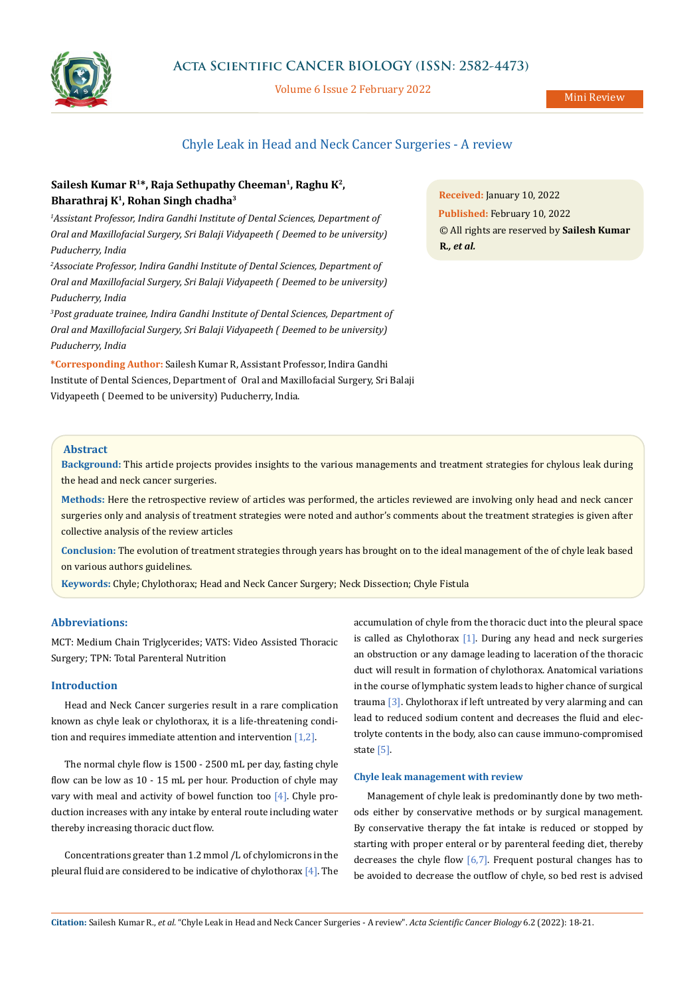

## **Acta Scientific CANCER BIOLOGY (ISSN: 2582-4473)**

Volume 6 Issue 2 February 2022

## Chyle Leak in Head and Neck Cancer Surgeries - A review

# Sailesh Kumar R<sup>1\*</sup>, Raja Sethupathy Cheeman<sup>1</sup>, Raghu K<sup>2</sup>, **Bharathraj K1, Rohan Singh chadha3**

<sup>1</sup> Assistant Professor, Indira Gandhi Institute of Dental Sciences, Department of *Oral and Maxillofacial Surgery, Sri Balaji Vidyapeeth ( Deemed to be university) Puducherry, India*

<sup>2</sup> Associate Professor, Indira Gandhi Institute of Dental Sciences, Department of *Oral and Maxillofacial Surgery, Sri Balaji Vidyapeeth ( Deemed to be university) Puducherry, India*

*3 Post graduate trainee, Indira Gandhi Institute of Dental Sciences, Department of Oral and Maxillofacial Surgery, Sri Balaji Vidyapeeth ( Deemed to be university) Puducherry, India*

**\*Corresponding Author:** Sailesh Kumar R, Assistant Professor, Indira Gandhi Institute of Dental Sciences, Department of Oral and Maxillofacial Surgery, Sri Balaji Vidyapeeth ( Deemed to be university) Puducherry, India.

**Received:** January 10, 2022 **Published:** February 10, 2022 © All rights are reserved by **Sailesh Kumar R***., et al.*

### **Abstract**

**Background:** This article projects provides insights to the various managements and treatment strategies for chylous leak during the head and neck cancer surgeries.

**Methods:** Here the retrospective review of articles was performed, the articles reviewed are involving only head and neck cancer surgeries only and analysis of treatment strategies were noted and author's comments about the treatment strategies is given after collective analysis of the review articles

**Conclusion:** The evolution of treatment strategies through years has brought on to the ideal management of the of chyle leak based on various authors guidelines.

**Keywords:** Chyle; Chylothorax; Head and Neck Cancer Surgery; Neck Dissection; Chyle Fistula

### **Abbreviations:**

MCT: Medium Chain Triglycerides; VATS: Video Assisted Thoracic Surgery; TPN: Total Parenteral Nutrition

#### **Introduction**

Head and Neck Cancer surgeries result in a rare complication known as chyle leak or chylothorax, it is a life-threatening condition and requires immediate attention and intervention [1,2].

The normal chyle flow is 1500 - 2500 mL per day, fasting chyle flow can be low as 10 - 15 mL per hour. Production of chyle may vary with meal and activity of bowel function too [4]. Chyle production increases with any intake by enteral route including water thereby increasing thoracic duct flow.

Concentrations greater than 1.2 mmol /L of chylomicrons in the pleural fluid are considered to be indicative of chylothorax  $[4]$ . The

accumulation of chyle from the thoracic duct into the pleural space is called as Chylothorax [1]. During any head and neck surgeries an obstruction or any damage leading to laceration of the thoracic duct will result in formation of chylothorax. Anatomical variations in the course of lymphatic system leads to higher chance of surgical trauma [3]. Chylothorax if left untreated by very alarming and can lead to reduced sodium content and decreases the fluid and electrolyte contents in the body, also can cause immuno-compromised state [5].

#### **Chyle leak management with review**

Management of chyle leak is predominantly done by two methods either by conservative methods or by surgical management. By conservative therapy the fat intake is reduced or stopped by starting with proper enteral or by parenteral feeding diet, thereby decreases the chyle flow  $[6,7]$ . Frequent postural changes has to be avoided to decrease the outflow of chyle, so bed rest is advised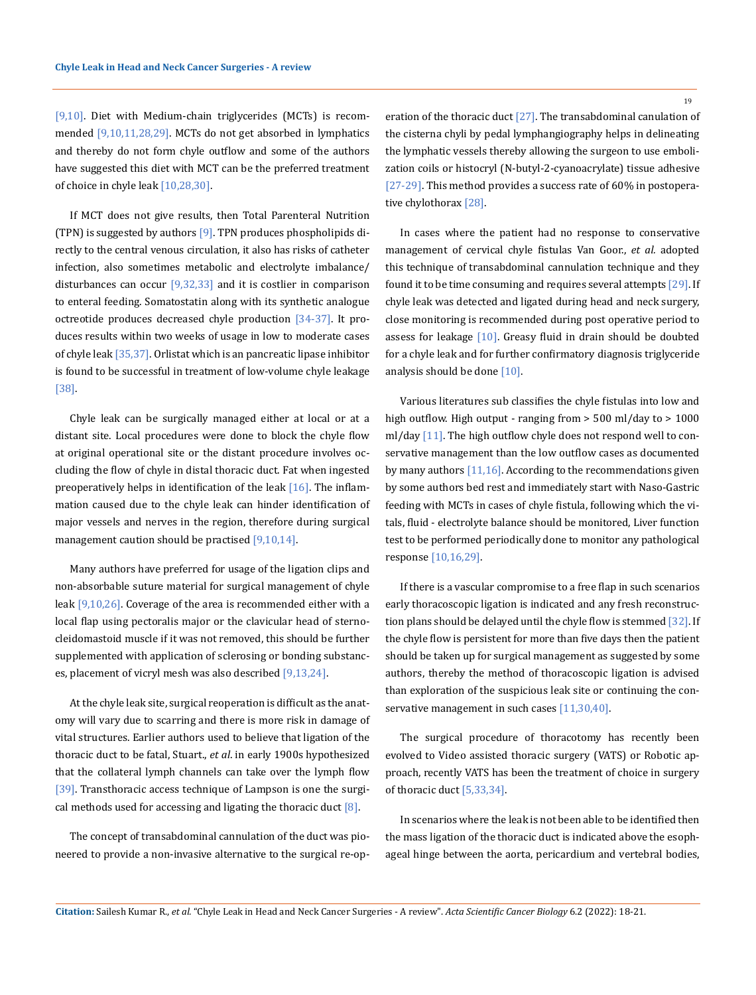[9,10]. Diet with Medium-chain triglycerides (MCTs) is recommended [9,10,11,28,29]. MCTs do not get absorbed in lymphatics and thereby do not form chyle outflow and some of the authors have suggested this diet with MCT can be the preferred treatment of choice in chyle leak [10,28,30].

If MCT does not give results, then Total Parenteral Nutrition (TPN) is suggested by authors [9]. TPN produces phospholipids directly to the central venous circulation, it also has risks of catheter infection, also sometimes metabolic and electrolyte imbalance/ disturbances can occur  $[9,32,33]$  and it is costlier in comparison to enteral feeding. Somatostatin along with its synthetic analogue octreotide produces decreased chyle production [34-37]. It produces results within two weeks of usage in low to moderate cases of chyle leak [35,37]. Orlistat which is an pancreatic lipase inhibitor is found to be successful in treatment of low-volume chyle leakage [38].

Chyle leak can be surgically managed either at local or at a distant site. Local procedures were done to block the chyle flow at original operational site or the distant procedure involves occluding the flow of chyle in distal thoracic duct. Fat when ingested preoperatively helps in identification of the leak  $[16]$ . The inflammation caused due to the chyle leak can hinder identification of major vessels and nerves in the region, therefore during surgical management caution should be practised [9,10,14].

Many authors have preferred for usage of the ligation clips and non-absorbable suture material for surgical management of chyle leak  $[9,10,26]$ . Coverage of the area is recommended either with a local flap using pectoralis major or the clavicular head of sternocleidomastoid muscle if it was not removed, this should be further supplemented with application of sclerosing or bonding substances, placement of vicryl mesh was also described [9,13,24].

At the chyle leak site, surgical reoperation is difficult as the anatomy will vary due to scarring and there is more risk in damage of vital structures. Earlier authors used to believe that ligation of the thoracic duct to be fatal, Stuart., *et al*. in early 1900s hypothesized that the collateral lymph channels can take over the lymph flow [39]. Transthoracic access technique of Lampson is one the surgical methods used for accessing and ligating the thoracic duct  $[8]$ .

The concept of transabdominal cannulation of the duct was pioneered to provide a non-invasive alternative to the surgical re-operation of the thoracic duct [27]. The transabdominal canulation of the cisterna chyli by pedal lymphangiography helps in delineating the lymphatic vessels thereby allowing the surgeon to use embolization coils or histocryl (N-butyl-2-cyanoacrylate) tissue adhesive [27-29]. This method provides a success rate of 60% in postoperative chylothorax [28].

In cases where the patient had no response to conservative management of cervical chyle fistulas Van Goor., *et al.* adopted this technique of transabdominal cannulation technique and they found it to be time consuming and requires several attempts [29]. If chyle leak was detected and ligated during head and neck surgery, close monitoring is recommended during post operative period to assess for leakage [10]. Greasy fluid in drain should be doubted for a chyle leak and for further confirmatory diagnosis triglyceride analysis should be done [10].

Various literatures sub classifies the chyle fistulas into low and high outflow. High output - ranging from > 500 ml/day to > 1000 ml/day [11]. The high outflow chyle does not respond well to conservative management than the low outflow cases as documented by many authors  $[11,16]$ . According to the recommendations given by some authors bed rest and immediately start with Naso-Gastric feeding with MCTs in cases of chyle fistula, following which the vitals, fluid - electrolyte balance should be monitored, Liver function test to be performed periodically done to monitor any pathological response [10,16,29].

If there is a vascular compromise to a free flap in such scenarios early thoracoscopic ligation is indicated and any fresh reconstruction plans should be delayed until the chyle flow is stemmed [32]. If the chyle flow is persistent for more than five days then the patient should be taken up for surgical management as suggested by some authors, thereby the method of thoracoscopic ligation is advised than exploration of the suspicious leak site or continuing the conservative management in such cases [11,30,40].

The surgical procedure of thoracotomy has recently been evolved to Video assisted thoracic surgery (VATS) or Robotic approach, recently VATS has been the treatment of choice in surgery of thoracic duct [5,33,34].

In scenarios where the leak is not been able to be identified then the mass ligation of the thoracic duct is indicated above the esophageal hinge between the aorta, pericardium and vertebral bodies,

**Citation:** Sailesh Kumar R., *et al.* "Chyle Leak in Head and Neck Cancer Surgeries - A review". *Acta Scientific Cancer Biology* 6.2 (2022): 18-21.

19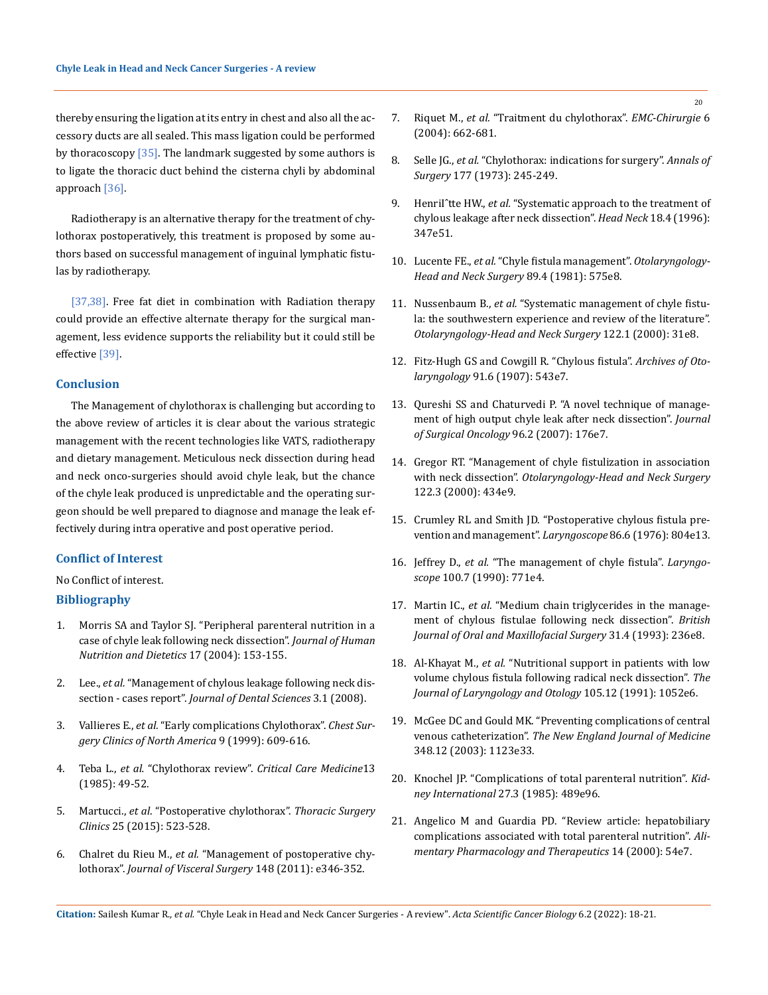thereby ensuring the ligation at its entry in chest and also all the accessory ducts are all sealed. This mass ligation could be performed by thoracoscopy  $[35]$ . The landmark suggested by some authors is to ligate the thoracic duct behind the cisterna chyli by abdominal approach [36].

Radiotherapy is an alternative therapy for the treatment of chylothorax postoperatively, this treatment is proposed by some authors based on successful management of inguinal lymphatic fistulas by radiotherapy.

[37,38]. Free fat diet in combination with Radiation therapy could provide an effective alternate therapy for the surgical management, less evidence supports the reliability but it could still be effective [39].

#### **Conclusion**

The Management of chylothorax is challenging but according to the above review of articles it is clear about the various strategic management with the recent technologies like VATS, radiotherapy and dietary management. Meticulous neck dissection during head and neck onco-surgeries should avoid chyle leak, but the chance of the chyle leak produced is unpredictable and the operating surgeon should be well prepared to diagnose and manage the leak effectively during intra operative and post operative period.

#### **Conflict of Interest**

#### No Conflict of interest.

#### **Bibliography**

- 1. [Morris SA and Taylor SJ. "Peripheral parenteral nutrition in a](https://pubmed.ncbi.nlm.nih.gov/15023196/)  [case of chyle leak following neck dissection".](https://pubmed.ncbi.nlm.nih.gov/15023196/) *Journal of Human [Nutrition and Dietetics](https://pubmed.ncbi.nlm.nih.gov/15023196/)* 17 (2004): 153-155.
- 2. Lee., *et al.* "Management of chylous leakage following neck dissection - cases report". *Journal of Dental Sciences* 3.1 (2008).
- 3. Vallieres E., *et al.* ["Early complications Chylothorax".](https://pubmed.ncbi.nlm.nih.gov/10459431/) *Chest Sur[gery Clinics of North America](https://pubmed.ncbi.nlm.nih.gov/10459431/)* 9 (1999): 609-616.
- 4. Teba L., *et al.* "Chylothorax review". *[Critical Care Medicine](https://pubmed.ncbi.nlm.nih.gov/3917388/)*13 [\(1985\): 49-52.](https://pubmed.ncbi.nlm.nih.gov/3917388/)
- 5. Martucci., *et al*[. "Postoperative chylothorax".](https://pubmed.ncbi.nlm.nih.gov/8911335/) *Thoracic Surgery Clinics* [25 \(2015\): 523-528.](https://pubmed.ncbi.nlm.nih.gov/8911335/)
- 6. Chalret du Rieu M., *et al.* ["Management of postoperative chy](https://pubmed.ncbi.nlm.nih.gov/22033151/)lothorax". *[Journal of Visceral Surgery](https://pubmed.ncbi.nlm.nih.gov/22033151/)* 148 (2011): e346-352.
- 7. Riquet M., *et al.* ["Traitment du chylothorax".](https://www.sciencedirect.com/science/article/abs/pii/S1762570X0400043X) *EMC-Chirurgie* 6 [\(2004\): 662-681.](https://www.sciencedirect.com/science/article/abs/pii/S1762570X0400043X)
- 8. Selle JG., *et al.* ["Chylothorax: indications for surgery".](https://www.ncbi.nlm.nih.gov/pmc/articles/PMC1355573/) *Annals of Surgery* [177 \(1973\): 245-249.](https://www.ncbi.nlm.nih.gov/pmc/articles/PMC1355573/)
- 9. HenriI<sup>^</sup>tte HW., et al. "Systematic approach to the treatment of [chylous leakage after neck dissection".](https://pubmed.ncbi.nlm.nih.gov/8780946/) *Head Neck* 18.4 (1996): [347e51.](https://pubmed.ncbi.nlm.nih.gov/8780946/)
- 10. Lucente FE., *et al.* ["Chyle fistula management".](https://pubmed.ncbi.nlm.nih.gov/6793967/) *Otolaryngology-[Head and Neck Surgery](https://pubmed.ncbi.nlm.nih.gov/6793967/)* 89.4 (1981): 575e8.
- 11. Nussenbaum B., *et al.* ["Systematic management of chyle fistu](https://pubmed.ncbi.nlm.nih.gov/10629479/)[la: the southwestern experience and review of the literature".](https://pubmed.ncbi.nlm.nih.gov/10629479/)  *[Otolaryngology-Head and Neck Surgery](https://pubmed.ncbi.nlm.nih.gov/10629479/)* 122.1 (2000): 31e8.
- 12. Fitz-Hugh GS and Cowgill R. "Chylous fistula". *Archives of Otolaryngology* 91.6 (1907): 543e7.
- 13. [Qureshi SS and Chaturvedi P. "A novel technique of manage](https://pubmed.ncbi.nlm.nih.gov/17372924/)[ment of high output chyle leak after neck dissection".](https://pubmed.ncbi.nlm.nih.gov/17372924/) *Journal [of Surgical Oncology](https://pubmed.ncbi.nlm.nih.gov/17372924/)* 96.2 (2007): 176e7.
- 14. [Gregor RT. "Management of chyle fistulization in association](https://pubmed.ncbi.nlm.nih.gov/10699823/)  with neck dissection". *[Otolaryngology-Head and Neck Surgery](https://pubmed.ncbi.nlm.nih.gov/10699823/)* [122.3 \(2000\): 434e9.](https://pubmed.ncbi.nlm.nih.gov/10699823/)
- 15. [Crumley RL and Smith JD. "Postoperative chylous fistula pre](https://pubmed.ncbi.nlm.nih.gov/933672/)[vention and management".](https://pubmed.ncbi.nlm.nih.gov/933672/) *Laryngoscope* 86.6 (1976): 804e13.
- 16. Jeffrey D., *et al.* ["The management of chyle fistula".](https://pubmed.ncbi.nlm.nih.gov/2362537/) *Laryngoscope* [100.7 \(1990\): 771e4.](https://pubmed.ncbi.nlm.nih.gov/2362537/)
- 17. Martin IC., *et al.* ["Medium chain triglycerides in the manage](https://pubmed.ncbi.nlm.nih.gov/8399040/)[ment of chylous fistulae following neck dissection".](https://pubmed.ncbi.nlm.nih.gov/8399040/) *British [Journal of Oral and Maxillofacial Surgery](https://pubmed.ncbi.nlm.nih.gov/8399040/)* 31.4 (1993): 236e8.
- 18. Al-Khayat M., *et al.* ["Nutritional support in patients with low](https://pubmed.ncbi.nlm.nih.gov/1787359/)  [volume chylous fistula following radical neck dissection".](https://pubmed.ncbi.nlm.nih.gov/1787359/) *The [Journal of Laryngology and Otology](https://pubmed.ncbi.nlm.nih.gov/1787359/)* 105.12 (1991): 1052e6.
- 19. [McGee DC and Gould MK. "Preventing complications of central](https://www.nejm.org/doi/full/10.1056/nejmra011883)  venous catheterization". *[The New England Journal of Medicine](https://www.nejm.org/doi/full/10.1056/nejmra011883)*  [348.12 \(2003\): 1123e33.](https://www.nejm.org/doi/full/10.1056/nejmra011883)
- 20. [Knochel JP. "Complications of total parenteral nutrition".](https://stanfordhealthcare.org/medical-treatments/t/total-parenteral-nutrition-therapy/complications.html) *Kid[ney International](https://stanfordhealthcare.org/medical-treatments/t/total-parenteral-nutrition-therapy/complications.html)* 27.3 (1985): 489e96.
- 21. [Angelico M and Guardia PD. "Review article: hepatobiliary](https://pubmed.ncbi.nlm.nih.gov/10903005/)  [complications associated with total parenteral nutrition".](https://pubmed.ncbi.nlm.nih.gov/10903005/) *Ali[mentary Pharmacology and Therapeutics](https://pubmed.ncbi.nlm.nih.gov/10903005/)* 14 (2000): 54e7.

20